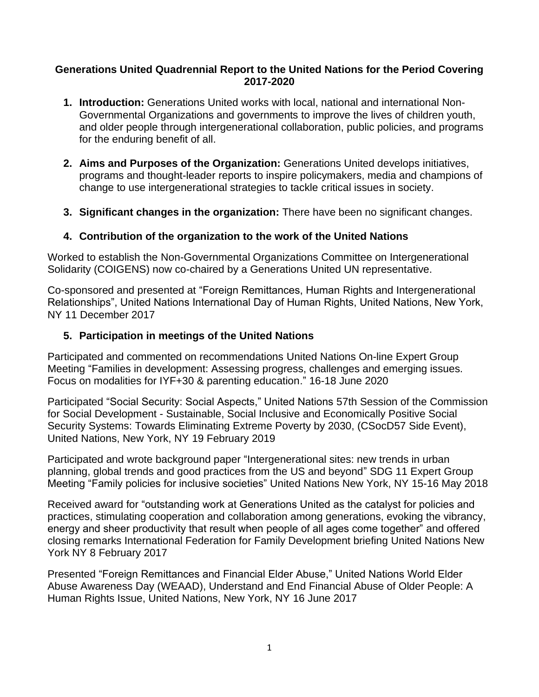#### **Generations United Quadrennial Report to the United Nations for the Period Covering 2017-2020**

- **1. Introduction:** Generations United works with local, national and international Non-Governmental Organizations and governments to improve the lives of children youth, and older people through intergenerational collaboration, public policies, and programs for the enduring benefit of all.
- **2. Aims and Purposes of the Organization:** Generations United develops initiatives, programs and thought-leader reports to inspire policymakers, media and champions of change to use intergenerational strategies to tackle critical issues in society.
- **3. Significant changes in the organization:** There have been no significant changes.

# **4. Contribution of the organization to the work of the United Nations**

Worked to establish the Non-Governmental Organizations Committee on Intergenerational Solidarity (COIGENS) now co-chaired by a Generations United UN representative.

Co-sponsored and presented at "Foreign Remittances, Human Rights and Intergenerational Relationships", United Nations International Day of Human Rights, United Nations, New York, NY 11 December 2017

# **5. Participation in meetings of the United Nations**

Participated and commented on recommendations United Nations On-line Expert Group Meeting "Families in development: Assessing progress, challenges and emerging issues. Focus on modalities for IYF+30 & parenting education." 16-18 June 2020

Participated "Social Security: Social Aspects," United Nations 57th Session of the Commission for Social Development - Sustainable, Social Inclusive and Economically Positive Social Security Systems: Towards Eliminating Extreme Poverty by 2030, (CSocD57 Side Event), United Nations, New York, NY 19 February 2019

Participated and wrote background paper "Intergenerational sites: new trends in urban planning, global trends and good practices from the US and beyond" SDG 11 Expert Group Meeting "Family policies for inclusive societies" United Nations New York, NY 15-16 May 2018

Received award for "outstanding work at Generations United as the catalyst for policies and practices, stimulating cooperation and collaboration among generations, evoking the vibrancy, energy and sheer productivity that result when people of all ages come together" and offered closing remarks International Federation for Family Development briefing United Nations New York NY 8 February 2017

Presented "Foreign Remittances and Financial Elder Abuse," United Nations World Elder Abuse Awareness Day (WEAAD), Understand and End Financial Abuse of Older People: A Human Rights Issue, United Nations, New York, NY 16 June 2017